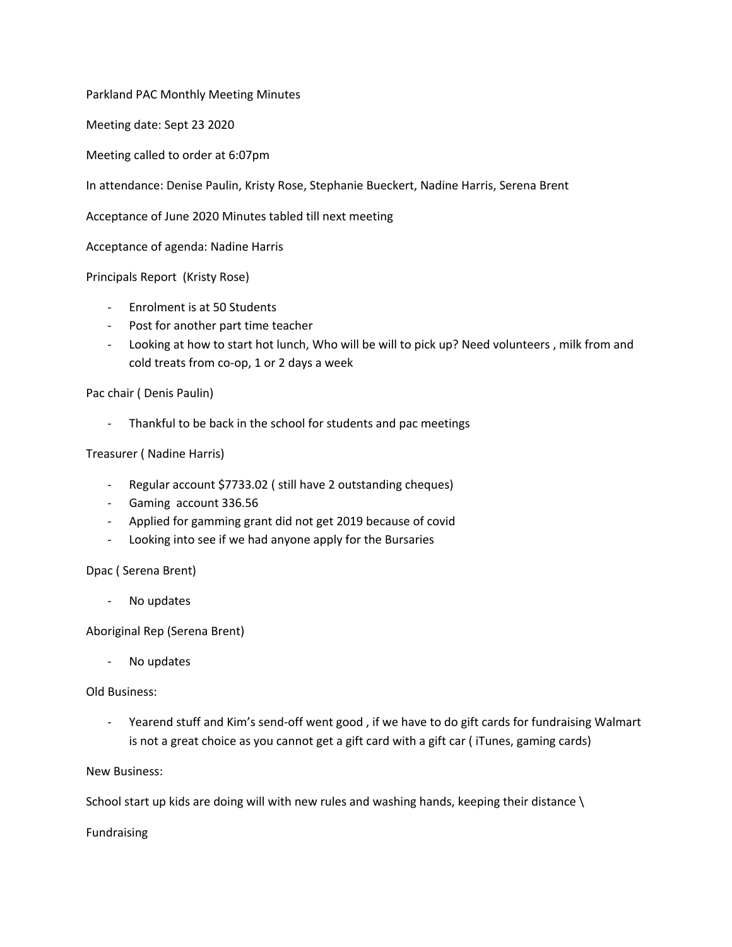Parkland PAC Monthly Meeting Minutes

Meeting date: Sept 23 2020

Meeting called to order at 6:07pm

In attendance: Denise Paulin, Kristy Rose, Stephanie Bueckert, Nadine Harris, Serena Brent

Acceptance of June 2020 Minutes tabled till next meeting

Acceptance of agenda: Nadine Harris

Principals Report (Kristy Rose)

- Enrolment is at 50 Students
- Post for another part time teacher
- Looking at how to start hot lunch, Who will be will to pick up? Need volunteers , milk from and cold treats from co-op, 1 or 2 days a week

Pac chair ( Denis Paulin)

- Thankful to be back in the school for students and pac meetings

Treasurer ( Nadine Harris)

- Regular account \$7733.02 ( still have 2 outstanding cheques)
- Gaming account 336.56
- Applied for gamming grant did not get 2019 because of covid
- Looking into see if we had anyone apply for the Bursaries

Dpac ( Serena Brent)

No updates

Aboriginal Rep (Serena Brent)

No updates

Old Business:

- Yearend stuff and Kim's send-off went good , if we have to do gift cards for fundraising Walmart is not a great choice as you cannot get a gift card with a gift car ( iTunes, gaming cards)

New Business:

School start up kids are doing will with new rules and washing hands, keeping their distance \

Fundraising